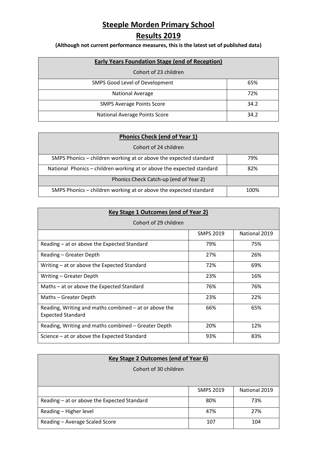## **Steeple Morden Primary School**

## **Results 2019**

**(Although not current performance measures, this is the latest set of published data)**

| <b>Early Years Foundation Stage (end of Reception)</b> |      |  |
|--------------------------------------------------------|------|--|
| Cohort of 23 children                                  |      |  |
| SMPS Good Level of Development                         | 65%  |  |
| <b>National Average</b>                                | 72%  |  |
| <b>SMPS Average Points Score</b>                       | 34.2 |  |
| National Average Points Score                          | 34.2 |  |

| <b>Phonics Check (end of Year 1)</b>                                  |      |  |
|-----------------------------------------------------------------------|------|--|
| Cohort of 24 children                                                 |      |  |
| SMPS Phonics – children working at or above the expected standard     | 79%  |  |
| National Phonics - children working at or above the expected standard | 82%  |  |
| Phonics Check Catch-up (end of Year 2)                                |      |  |
| SMPS Phonics - children working at or above the expected standard     | 100% |  |

| Key Stage 1 Outcomes (end of Year 2)                                              |                  |               |  |
|-----------------------------------------------------------------------------------|------------------|---------------|--|
| Cohort of 29 children                                                             |                  |               |  |
|                                                                                   | <b>SMPS 2019</b> | National 2019 |  |
| Reading – at or above the Expected Standard                                       | 79%              | 75%           |  |
| Reading – Greater Depth                                                           | 27%              | 26%           |  |
| Writing – at or above the Expected Standard                                       | 72%              | 69%           |  |
| Writing - Greater Depth                                                           | 23%              | 16%           |  |
| Maths - at or above the Expected Standard                                         | 76%              | 76%           |  |
| Maths - Greater Depth                                                             | 23%              | 22%           |  |
| Reading, Writing and maths combined – at or above the<br><b>Expected Standard</b> | 66%              | 65%           |  |
| Reading, Writing and maths combined - Greater Depth                               | 20%              | 12%           |  |
| Science – at or above the Expected Standard                                       | 93%              | 83%           |  |

| <b>Key Stage 2 Outcomes (end of Year 6)</b> |                  |               |
|---------------------------------------------|------------------|---------------|
| Cohort of 30 children                       |                  |               |
|                                             |                  |               |
|                                             | <b>SMPS 2019</b> | National 2019 |
| Reading - at or above the Expected Standard | 80%              | 73%           |
| Reading - Higher level                      | 47%              | 27%           |
| Reading - Average Scaled Score              | 107              | 104           |